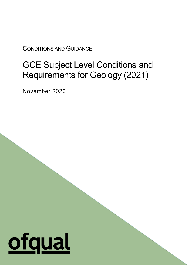CONDITIONS AND GUIDANCE

# GCE Subject Level Conditions and Requirements for Geology (2021)

1

November 2020

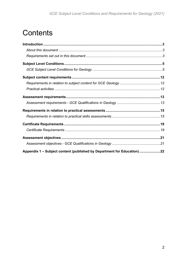# **Contents**

| Appendix 1 - Subject content (published by Department for Education) 22 |  |
|-------------------------------------------------------------------------|--|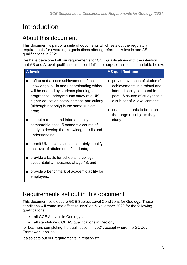# <span id="page-2-0"></span>Introduction

### <span id="page-2-1"></span>About this document

This document is part of a suite of documents which sets out the regulatory requirements for awarding organisations offering reformed A levels and AS qualifications in 2021.

We have developed all our requirements for GCE qualifications with the intention that AS and A level qualifications should fulfil the purposes set out in the table below:

| <b>A</b> levels                                                                                                                                                                                                                                                            | <b>AS qualifications</b>                                                                                                                                                                                                    |
|----------------------------------------------------------------------------------------------------------------------------------------------------------------------------------------------------------------------------------------------------------------------------|-----------------------------------------------------------------------------------------------------------------------------------------------------------------------------------------------------------------------------|
| define and assess achievement of the<br>knowledge, skills and understanding which<br>will be needed by students planning to<br>progress to undergraduate study at a UK<br>higher education establishment, particularly<br>(although not only) in the same subject<br>area; | provide evidence of students'<br>achievements in a robust and<br>internationally comparable<br>post-16 course of study that is<br>a sub-set of A level content;<br>enable students to broaden<br>the range of subjects they |
| set out a robust and internationally<br>comparable post-16 academic course of<br>study to develop that knowledge, skills and<br>understanding;                                                                                                                             | study.                                                                                                                                                                                                                      |
| permit UK universities to accurately identify<br>the level of attainment of students;                                                                                                                                                                                      |                                                                                                                                                                                                                             |
| provide a basis for school and college<br>accountability measures at age 18; and                                                                                                                                                                                           |                                                                                                                                                                                                                             |
| provide a benchmark of academic ability for<br>employers.                                                                                                                                                                                                                  |                                                                                                                                                                                                                             |

## <span id="page-2-2"></span>Requirements set out in this document

This document sets out the GCE Subject Level Conditions for Geology. These conditions will come into effect at 09:30 on 5 November 2020 for the following qualifications:

- all GCE A levels in Geology; and
- all standalone GCE AS qualifications in Geology

for Learners completing the qualification in 2021, except where the GQCov Framework applies.

It also sets out our requirements in relation to: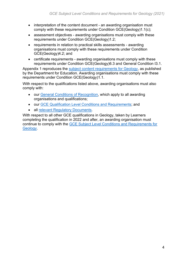- interpretation of the content document an awarding organisation must comply with these requirements under Condition GCE(Geology)1.1(c);
- assessment objectives awarding organisations must comply with these requirements under Condition GCE(Geology)1.2;
- requirements in relation to practical skills assessments awarding organisations must comply with these requirements under Condition GCE(Geology)4.2; and
- certificate requirements awarding organisations must comply with these requirements under Condition GCE(Geology)6.3 and General Condition I3.1.

Appendix 1 reproduces the [subject content requirements for Geology,](https://www.gov.uk/government/publications/gce-as-and-a-level-geology) as published by the Department for Education. Awarding organisations must comply with these requirements under Condition GCE(Geology)1.1.

With respect to the qualifications listed above, awarding organisations must also comply with:

- our [General Conditions of Recognition,](https://www.gov.uk/government/publications/general-conditions-of-recognition) which apply to all awarding organisations and qualifications;
- our [GCE Qualification Level Conditions and Requirements;](https://www.gov.uk/government/publications/gce-qualification-level-conditions-and-requirements) and
- all [relevant Regulatory Documents.](https://www.gov.uk/guidance/regulatory-document-list)

With respect to all other GCE qualifications in Geology, taken by Learners completing the qualification in 2022 and after, an awarding organisation must continue to comply with the [GCE Subject Level Conditions and Requirements for](https://www.gov.uk/government/publications/gce-subject-level-conditions-and-requirements-for-geology)  [Geology.](https://www.gov.uk/government/publications/gce-subject-level-conditions-and-requirements-for-geology)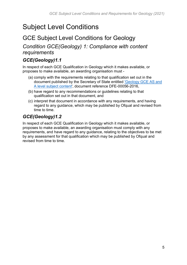# <span id="page-4-0"></span>Subject Level Conditions

### <span id="page-4-1"></span>GCE Subject Level Conditions for Geology

*Condition GCE(Geology) 1: Compliance with content requirements*

#### *GCE(Geology)1.1*

In respect of each GCE Qualification in Geology which it makes available, or proposes to make available, an awarding organisation must -

- (a) comply with the requirements relating to that qualification set out in the document published by the Secretary of State entitled ['Geology GCE AS and](https://www.gov.uk/government/publications/gce-as-and-a-level-geology)  [A level subject content'](https://www.gov.uk/government/publications/gce-as-and-a-level-geology), document reference DFE-00056-2016,
- (b) have regard to any recommendations or guidelines relating to that qualification set out in that document, and
- (c) interpret that document in accordance with any requirements, and having regard to any guidance, which may be published by Ofqual and revised from time to time.

### *GCE(Geology)1.2*

In respect of each GCE Qualification in Geology which it makes available, or proposes to make available, an awarding organisation must comply with any requirements, and have regard to any guidance, relating to the objectives to be met by any assessment for that qualification which may be published by Ofqual and revised from time to time.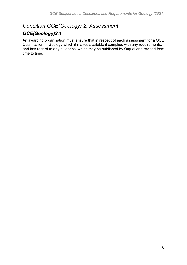# *Condition GCE(Geology) 2: Assessment*

### *GCE(Geology)2.1*

An awarding organisation must ensure that in respect of each assessment for a GCE Qualification in Geology which it makes available it complies with any requirements, and has regard to any guidance, which may be published by Ofqual and revised from time to time.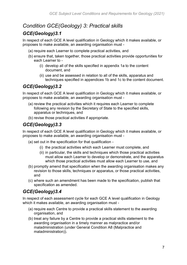### *Condition GCE(Geology) 3: Practical skills*

### *GCE(Geology)3.1*

In respect of each GCE A level qualification in Geology which it makes available, or proposes to make available, an awarding organisation must -

- (a) require each Learner to complete practical activities, and
- (b) ensure that, taken together, those practical activities provide opportunities for each Learner to -
	- (i) develop all of the skills specified in appendix 1a to the content document, and
	- (ii) use and be assessed in relation to all of the skills, apparatus and techniques specified in appendices 1b and 1c to the content document.

#### *GCE(Geology)3.2*

In respect of each GCE A level qualification in Geology which it makes available, or proposes to make available, an awarding organisation must -

- (a) review the practical activities which it requires each Learner to complete following any revision by the Secretary of State to the specified skills, apparatus or techniques, and
- (b) revise those practical activities if appropriate.

#### *GCE(Geology)3.3*

In respect of each GCE A level qualification in Geology which it makes available, or proposes to make available, an awarding organisation must -

- (a) set out in the specification for that qualification
	- (i) the practical activities which each Learner must complete, and
	- (ii) in particular, the skills and techniques which those practical activities must allow each Learner to develop or demonstrate, and the apparatus which those practical activities must allow each Learner to use, and
- (b) promptly amend that specification when the awarding organisation makes any revision to those skills, techniques or apparatus, or those practical activities, and
- (c) where such an amendment has been made to the specification, publish that specification as amended.

#### *GCE(Geology)3.4*

In respect of each assessment cycle for each GCE A level qualification in Geology which it makes available, an awarding organisation must -

- (a) require each Centre to provide a practical skills statement to the awarding organisation, and
- (b) treat any failure by a Centre to provide a practical skills statement to the awarding organisation in a timely manner as malpractice and/or maladministration (under General Condition A8 (Malpractice and maladministration)).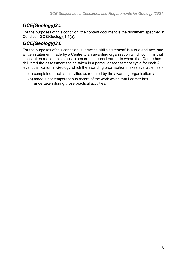### *GCE(Geology)3.5*

For the purposes of this condition, the content document is the document specified in Condition GCE(Geology)1.1(a).

### *GCE(Geology)3.6*

For the purposes of this condition, a 'practical skills statement' is a true and accurate written statement made by a Centre to an awarding organisation which confirms that it has taken reasonable steps to secure that each Learner to whom that Centre has delivered the assessments to be taken in a particular assessment cycle for each A level qualification in Geology which the awarding organisation makes available has -

- (a) completed practical activities as required by the awarding organisation, and
- (b) made a contemporaneous record of the work which that Learner has undertaken during those practical activities.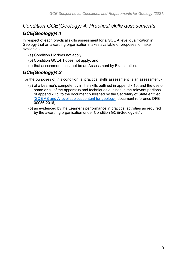# *Condition GCE(Geology) 4: Practical skills assessments*

#### *GCE(Geology)4.1*

In respect of each practical skills assessment for a GCE A level qualification in Geology that an awarding organisation makes available or proposes to make available -

- (a) Condition H2 does not apply,
- (b) Condition GCE4.1 does not apply, and
- (c) that assessment must not be an Assessment by Examination.

### *GCE(Geology)4.2*

For the purposes of this condition, a 'practical skills assessment' is an assessment -

- (a) of a Learner's competency in the skills outlined in appendix 1b, and the use of some or all of the apparatus and techniques outlined in the relevant portions of appendix 1c, to the document published by the Secretary of State entitled ['GCE AS and A level subject content for geology',](https://www.gov.uk/government/publications/gce-as-and-a-level-geology) document reference DFE-00056-2016,
- (b) as evidenced by the Learner's performance in practical activities as required by the awarding organisation under Condition GCE(Geology)3.1.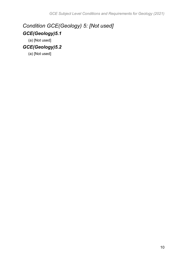### *Condition GCE(Geology) 5: [Not used] GCE(Geology)5.1*

(a) [Not used]

### *GCE(Geology)5.2*

(a) [Not used]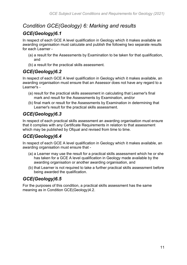### *Condition GCE(Geology) 6: Marking and results*

#### *GCE(Geology)6.1*

In respect of each GCE A level qualification in Geology which it makes available an awarding organisation must calculate and publish the following two separate results for each Learner -

- (a) a result for the Assessments by Examination to be taken for that qualification, and
- (b) a result for the practical skills assessment.

#### *GCE(Geology)6.2*

In respect of each GCE A level qualification in Geology which it makes available, an awarding organisation must ensure that an Assessor does not have any regard to a Learner's -

- (a) result for the practical skills assessment in calculating that Learner's final mark and result for the Assessments by Examination, and/or
- (b) final mark or result for the Assessments by Examination in determining that Learner's result for the practical skills assessment.

#### *GCE(Geology)6.3*

In respect of each practical skills assessment an awarding organisation must ensure that it complies with any Certificate Requirements in relation to that assessment which may be published by Ofqual and revised from time to time.

#### *GCE(Geology)6.4*

In respect of each GCE A level qualification in Geology which it makes available, an awarding organisation must ensure that -

- (a) a Learner may use the result for a practical skills assessment which he or she has taken for a GCE A level qualification in Geology made available by the awarding organisation or another awarding organisation, and
- (b) that Learner is not required to take a further practical skills assessment before being awarded the qualification.

#### *GCE(Geology)6.5*

For the purposes of this condition, a practical skills assessment has the same meaning as in Condition GCE(Geology)4.2.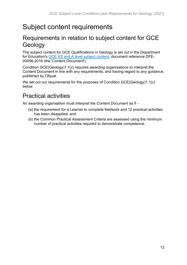# <span id="page-11-0"></span>Subject content requirements

### <span id="page-11-1"></span>Requirements in relation to subject content for GCE Geology

The subject content for GCE Qualifications in Geology is set out in the Department for Education's [GCE AS and A level subject content,](https://www.gov.uk/government/publications/gce-as-and-a-level-geology) document reference DFE-00056-2016 (the 'Content Document').

Condition GCE(Geology)1.1(c) requires awarding organisations to interpret the Content Document in line with any requirements, and having regard to any guidance, published by Ofqual.

We set out our requirements for the purposes of Condition GCE(Geology)1.1(c) below.

# <span id="page-11-2"></span>Practical activities

An awarding organisation must interpret the Content Document as if -

- (a) the requirement for a Learner to complete fieldwork and 12 practical activities has been disapplied, and
- (b) the Common Practical Assessment Criteria are assessed using the minimum number of practical activities required to demonstrate competence.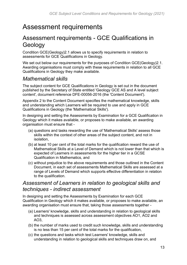# <span id="page-12-0"></span>Assessment requirements

### <span id="page-12-1"></span>Assessment requirements - GCE Qualifications in Geology

Condition GCE(Geology)2.1 allows us to specify requirements in relation to assessments for GCE Qualifications in Geology.

We set out below our requirements for the purposes of Condition GCE(Geology)2.1. Awarding organisations must comply with these requirements in relation to all GCE Qualifications in Geology they make available.

### *Mathematical skills*

The subject content for GCE Qualifications in Geology is set out in the document published by the Secretary of State entitled 'Geology GCE AS and A level subject content', document reference DFE-00056-2016 (the 'Content Document').

Appendix 2 to the Content Document specifies the mathematical knowledge, skills and understanding which Learners will be required to use and apply in GCE Qualifications in Geology (the 'Mathematical Skills').

In designing and setting the Assessments by Examination for a GCE Qualification in Geology which it makes available, or proposes to make available, an awarding organisation must ensure that -

- (a) questions and tasks rewarding the use of 'Mathematical Skills' assess those skills within the context of other areas of the subject content, and not in isolation,
- (b) at least 10 per cent of the total marks for the qualification reward the use of Mathematical Skills at a Level of Demand which is not lower than that which is expected of Learners in assessments for the higher tier in a GCSE Qualification in Mathematics, and
- (c) without prejudice to the above requirements and those outlined in the Content Document, in each set of assessments Mathematical Skills are assessed at a range of Levels of Demand which supports effective differentiation in relation to the qualification.

#### *Assessment of Learners in relation to geological skills and techniques - indirect assessment*

In designing and setting the Assessments by Examination for each GCE Qualification in Geology which it makes available, or proposes to make available, an awarding organisation must ensure that, taking those assessments together -

- (a) Learners' knowledge, skills and understanding in relation to geological skills and techniques is assessed across assessment objectives AO1, AO2 and AO3,
- (b) the number of marks used to credit such knowledge, skills and understanding is no less than 15 per cent of the total marks for the qualification,
- (c) the questions and tasks which test Learners' knowledge, skills and understanding in relation to geological skills and techniques draw on, and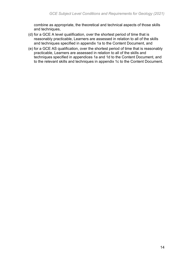combine as appropriate, the theoretical and technical aspects of those skills and techniques,

- (d) for a GCE A level qualification, over the shortest period of time that is reasonably practicable, Learners are assessed in relation to all of the skills and techniques specified in appendix 1a to the Content Document, and
- (e) for a GCE AS qualification, over the shortest period of time that is reasonably practicable, Learners are assessed in relation to all of the skills and techniques specified in appendices 1a and 1d to the Content Document, and to the relevant skills and techniques in appendix 1c to the Content Document.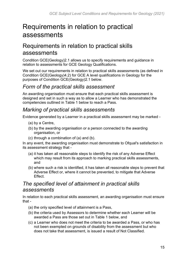# <span id="page-14-0"></span>Requirements in relation to practical assessments

### <span id="page-14-1"></span>Requirements in relation to practical skills assessments

Condition GCE(Geology)2.1 allows us to specify requirements and guidance in relation to assessments for GCE Geology Qualifications.

We set out our requirements in relation to practical skills assessments (as defined in Condition GCE(Geology)4.2) for GCE A level qualifications in Geology for the purposes of Condition GCE(Geology)2.1 below.

#### *Form of the practical skills assessment*

An awarding organisation must ensure that each practical skills assessment is designed and set in such a way as to allow a Learner who has demonstrated the competencies outlined in Table 1 below to reach a Pass.

#### *Marking of practical skills assessments*

Evidence generated by a Learner in a practical skills assessment may be marked -

- (a) by a Centre,
- (b) by the awarding organisation or a person connected to the awarding organisation, or
- (c) through a combination of (a) and (b).

In any event, the awarding organisation must demonstrate to Ofqual's satisfaction in its assessment strategy that -

- (a) it has taken all reasonable steps to identify the risk of any Adverse Effect which may result from its approach to marking practical skills assessments, and
- (b) where such a risk is identified, it has taken all reasonable steps to prevent that Adverse Effect or, where it cannot be prevented, to mitigate that Adverse Effect.

### *The specified level of attainment in practical skills assessments*

In relation to each practical skills assessment, an awarding organisation must ensure that -

- (a) the only specified level of attainment is a Pass,
- (b) the criteria used by Assessors to determine whether each Learner will be awarded a Pass are those set out in Table 1 below, and
- (c) a Learner who does not meet the criteria to be awarded a Pass, or who has not been exempted on grounds of disability from the assessment but who does not take that assessment, is issued a result of Not Classified.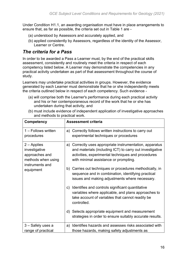Under Condition H1.1, an awarding organisation must have in place arrangements to ensure that, as far as possible, the criteria set out in Table 1 are -

- (a) understood by Assessors and accurately applied, and
- (b) applied consistently by Assessors, regardless of the identity of the Assessor, Learner or Centre.

#### *The criteria for a Pass*

In order to be awarded a Pass a Learner must, by the end of the practical skills assessment, consistently and routinely meet the criteria in respect of each competency listed below. A Learner may demonstrate the competencies in any practical activity undertaken as part of that assessment throughout the course of study.

Learners may undertake practical activities in groups. However, the evidence generated by each Learner must demonstrate that he or she independently meets the criteria outlined below in respect of each competency. Such evidence -

- (a) will comprise both the Learner's performance during each practical activity and his or her contemporaneous record of the work that he or she has undertaken during that activity, and
- (b) must include evidence of independent application of investigative approaches and methods to practical work.

| <b>Competency</b>                                                                         | <b>Assessment criteria</b>                                                                                                                                                                                          |
|-------------------------------------------------------------------------------------------|---------------------------------------------------------------------------------------------------------------------------------------------------------------------------------------------------------------------|
| 1 - Follows written<br>procedures                                                         | a) Correctly follows written instructions to carry out<br>experimental techniques or procedures                                                                                                                     |
| $2 -$ Applies<br>investigative<br>approaches and<br>methods when using<br>instruments and | a) Correctly uses appropriate instrumentation, apparatus<br>and materials (including ICT) to carry out investigative<br>activities, experimental techniques and procedures<br>with minimal assistance or prompting. |
| equipment                                                                                 | Carries out techniques or procedures methodically, in<br>b)<br>sequence and in combination, identifying practical<br>issues and making adjustments where necessary.                                                 |
|                                                                                           | Identifies and controls significant quantitative<br>$\mathsf{C}$<br>variables where applicable, and plans approaches to<br>take account of variables that cannot readily be<br>controlled.                          |
|                                                                                           | Selects appropriate equipment and measurement<br>d)<br>strategies in order to ensure suitably accurate results.                                                                                                     |
| 3 – Safely uses a<br>range of practical                                                   | Identifies hazards and assesses risks associated with<br>a)<br>those hazards, making safety adjustments as                                                                                                          |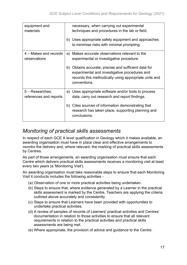| equipment and<br>materials                | necessary, when carrying out experimental<br>techniques and procedures in the lab or field.<br>Uses appropriate safety equipment and approaches<br>b)<br>to minimise risks with minimal prompting. |
|-------------------------------------------|----------------------------------------------------------------------------------------------------------------------------------------------------------------------------------------------------|
|                                           |                                                                                                                                                                                                    |
| 4 – Makes and records<br>observations     | Makes accurate observations relevant to the<br>a)<br>experimental or investigative procedure.                                                                                                      |
|                                           | Obtains accurate, precise and sufficient data for<br>b)<br>experimental and investigative procedures and<br>records this methodically using appropriate units and<br>conventions.                  |
| 5 - Researches,<br>references and reports | Uses appropriate software and/or tools to process<br>a)<br>data, carry out research and report findings.                                                                                           |
|                                           | Cites sources of information demonstrating that<br>b)<br>research has taken place, supporting planning and<br>conclusions.                                                                         |

### *Monitoring of practical skills assessments*

In respect of each GCE A level qualification in Geology which it makes available, an awarding organisation must have in place clear and effective arrangements to monitor the delivery and, where relevant, the marking of practical skills assessments by Centres.

As part of those arrangements, an awarding organisation must ensure that each Centre which delivers practical skills assessments receives a monitoring visit at least every two years (a 'Monitoring Visit').

An awarding organisation must take reasonable steps to ensure that each Monitoring Visit it conducts includes the following activities -

- (a) Observation of one or more practical activities being undertaken.
- (b) Steps to ensure that, where evidence generated by a Learner in the practical skills assessment is marked by the Centre, Teachers are applying the criteria outlined above accurately and consistently.
- (c) Steps to ensure that Learners have been provided with opportunities to undertake practical activities.
- (d) A review of samples of records of Learners' practical activities and Centres' documentation in relation to those activities to ensure that all relevant requirements in relation to the practical activities and practical skills assessments are being met.
- (e) Where appropriate, the provision of advice and guidance to the Centre.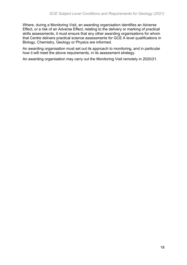Where, during a Monitoring Visit, an awarding organisation identifies an Adverse Effect, or a risk of an Adverse Effect, relating to the delivery or marking of practical skills assessments, it must ensure that any other awarding organisations for whom that Centre delivers practical science assessments for GCE A level qualifications in Biology, Chemistry, Geology or Physics are informed.

An awarding organisation must set out its approach to monitoring, and in particular how it will meet the above requirements, in its assessment strategy.

An awarding organisation may carry out the Monitoring Visit remotely in 2020/21.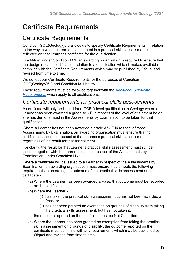# <span id="page-18-0"></span>Certificate Requirements

### <span id="page-18-1"></span>Certificate Requirements

Condition GCE(Geology)6.3 allows us to specify Certificate Requirements in relation to the way in which a Learner's attainment in a practical skills assessment is reflected on that Learner's certificate for the qualification.

In addition, under Condition I3.1, an awarding organisation is required to ensure that the design of each certificate in relation to a qualification which it makes available complies with the Certificate Requirements which may be published by Ofqual and revised from time to time.

We set out our Certificate Requirements for the purposes of Condition GCE(Geology)6.3 and Condition I3.1 below.

These requirements must be followed together with the *[Additional Certificate](https://www.gov.uk/government/publications/additional-certificate-requirements)  [Requirements](https://www.gov.uk/government/publications/additional-certificate-requirements)* which apply to all qualifications.

#### *Certificate requirements for practical skills assessments*

A certificate will only be issued for a GCE A level qualification in Geology where a Learner has been awarded a grade A\* - E in respect of the level of attainment he or she has demonstrated in the Assessments by Examination to be taken for that qualification.

Where a Learner has not been awarded a grade A\* - E in respect of those Assessments by Examination, an awarding organisation must ensure that no certificate is issued in respect of that Learner's practical skills assessment, regardless of the result for that assessment.

For clarity, the result for that Learner's practical skills assessment must still be issued, together with the Learner's result in respect of the Assessments by Examination, under Condition H6.1.

Where a certificate will be issued to a Learner in respect of the Assessments by Examination, an awarding organisation must ensure that it meets the following requirements in recording the outcome of the practical skills assessment on that certificate -

- (a) Where the Learner has been awarded a Pass, that outcome must be recorded on the certificate.
- (b) Where the Learner
	- (i) has taken the practical skills assessment but has not been awarded a Pass, or
	- (ii) has not been granted an exemption on grounds of disability from taking the practical skills assessment, but has not taken it,

the outcome reported on the certificate must be Not Classified.

(c) Where the Learner has been granted an exemption from taking the practical skills assessment on grounds of disability, the outcome reported on the certificate must be in line with any requirements which may be published by Ofqual and revised from time to time.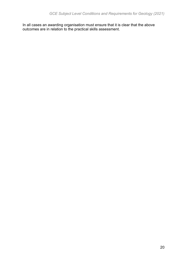In all cases an awarding organisation must ensure that it is clear that the above outcomes are in relation to the practical skills assessment.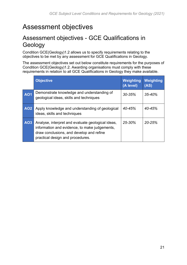# <span id="page-20-0"></span>Assessment objectives

### <span id="page-20-1"></span>Assessment objectives - GCE Qualifications in Geology

Condition GCE(Geology)1.2 allows us to specify requirements relating to the objectives to be met by any assessment for GCE Qualifications in Geology.

The assessment objectives set out below constitute requirements for the purposes of Condition GCE(Geology)1.2. Awarding organisations must comply with these requirements in relation to all GCE Qualifications in Geology they make available.

|            | <b>Objective</b>                                                                                                                                                                   | Weighting<br>(A level) | Weighting<br>(AS) |
|------------|------------------------------------------------------------------------------------------------------------------------------------------------------------------------------------|------------------------|-------------------|
| <b>AO1</b> | Demonstrate knowledge and understanding of<br>geological ideas, skills and techniques                                                                                              | $30 - 35%$             | $35 - 40%$        |
| <b>AO2</b> | Apply knowledge and understanding of geological<br>ideas, skills and techniques                                                                                                    | 40-45%                 | $40 - 45%$        |
| AO3        | Analyse, interpret and evaluate geological ideas,<br>information and evidence, to make judgements,<br>draw conclusions, and develop and refine<br>practical design and procedures. | $25 - 30%$             | $20 - 25%$        |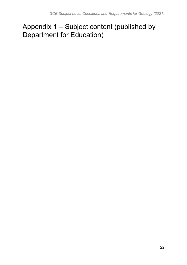# <span id="page-21-0"></span>Appendix 1 – Subject content (published by Department for Education)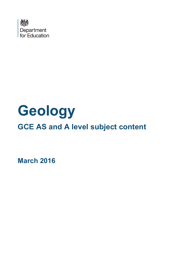

# **Geology**

# **GCE AS and A level subject content**

**March 2016**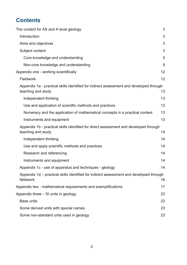### **Contents**

| The content for AS and A level geology                                                                        | 3  |
|---------------------------------------------------------------------------------------------------------------|----|
| Introduction                                                                                                  | 3  |
| Aims and objectives                                                                                           | 3  |
| Subject content                                                                                               | 3  |
| Core knowledge and understanding                                                                              | 5  |
| Non-core knowledge and understanding                                                                          | 9  |
| Appendix one - working scientifically                                                                         | 12 |
| Fieldwork                                                                                                     | 12 |
| Appendix 1a - practical skills identified for indirect assessment and developed through<br>teaching and study | 13 |
| Independent thinking                                                                                          | 13 |
| Use and application of scientific methods and practices                                                       | 13 |
| Numeracy and the application of mathematical concepts in a practical context                                  | 13 |
| Instruments and equipment                                                                                     | 13 |
| Appendix 1b - practical skills identified for direct assessment and developed through<br>teaching and study   | 14 |
| Independent thinking                                                                                          | 14 |
| Use and apply scientific methods and practices                                                                | 14 |
| Research and referencing                                                                                      | 14 |
| Instruments and equipment                                                                                     | 14 |
| Appendix 1c - use of apparatus and techniques - geology                                                       | 14 |
| Appendix 1d – practical skills identified for indirect assessment and developed through<br>fieldwork          | 16 |
| Appendix two - mathematical requirements and exemplifications                                                 | 17 |
| Appendix three – SI units in geology                                                                          | 23 |
| <b>Base units</b>                                                                                             | 23 |
| Some derived units with special names                                                                         | 23 |
| Some non-standard units used in geology                                                                       | 23 |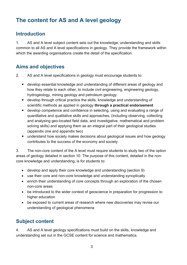### <span id="page-24-0"></span>**The content for AS and A level geology**

#### <span id="page-24-1"></span>**Introduction**

1. AS and A level subject content sets out the knowledge, understanding and skills common to all AS and A level specifications in geology. They provide the framework within which the awarding organisations create the detail of the specification.

### <span id="page-24-2"></span>**Aims and objectives**

- 2. AS and A level specifications in geology must encourage students to:
	- develop essential knowledge and understanding of different areas of geology and how they relate to each other, to include civil engineering, engineering geology, hydrogeology, mining geology and petroleum geology
	- develop through critical practice the skills, knowledge and understanding of scientific methods as applied in geology **through a practical endorsement**
	- develop competence and confidence in selecting, using and evaluating a range of quantitative and qualitative skills and approaches, (including observing, collecting and analysing geo-located field data, and investigative, mathematical and problem solving skills) and applying them as an integral part of their geological studies (appendix one and appendix two)
	- understand how society makes decisions about geological issues and how geology contributes to the success of the economy and society

3. The non-core content of the A level must require students to study two of the option areas of geology detailed in section 10. The purpose of this content, detailed in the noncore knowledge and understanding, is for students to:

- develop and apply their core knowledge and understanding (section 9)
- use their core and non-core knowledge and understanding synoptically
- enrich their understanding of core concepts through an exploration of the chosen non-core areas
- be introduced to the wider context of geoscience in preparation for progression to higher education
- be exposed to current areas of research where new discoveries may revise our understanding of geological phenomena

#### <span id="page-24-3"></span>**Subject content**

4. AS and A level geology specifications must build on the skills, knowledge and understanding set out in the GCSE content for science and mathematics.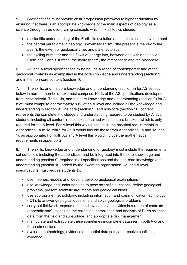5. Specifications must provide clear progression pathways to higher education by ensuring that there is an appropriate knowledge of the main aspects of geology as a science through three overarching concepts which link all topics studied:

- a scientific understanding of the Earth, its evolution and its sustainable development
- the central paradigms in geology: uniformitarianism ("the present is the key to the past"); the extent of geological time; and plate tectonics
- the cycling of matter and the flows of energy into, between and within the solid Earth, the Earth's surface, the hydrosphere, the atmosphere and the biosphere

6. AS and A level specifications must include a range of contemporary and other geological contexts as exemplified in the core knowledge and understanding (section 9) and in the non-core content (section 10).

7. The skills, and the core knowledge and understanding (section 9) for AS set out below in normal (non-bold) text must comprise 100% of the AS specifications developed from these criteria. The skills, and the core knowledge and understanding (section 9) for A level must comprise approximately 80% of an A level and include all the knowledge and understanding in section 9. The core (section 9) and non-core (section 10) content represents the complete knowledge and understanding required to be studied by A level students including all content in bold text contained within square brackets which is only required for the A level. For A level this would include all the practical requirements in Appendices 1a to 1c, while for AS it would include those from Appendices 1a and 1d, and 1c as appropriate. For both AS and A level this would include the mathematical requirements in appendix 2.

8. The skills, knowledge and understanding for geology must include the requirements set out below including the appendices, and be integrated into the core knowledge and understanding (section 9) required in all specifications and the non-core knowledge and understanding (section 10) added by the awarding organisation. AS and A level specifications must require students to:

- use theories, models and ideas to develop geological explanations
- use knowledge and understanding to pose scientific questions, define geological problems, present scientific arguments and geological ideas
- use appropriate methodology, including information and communication technology (ICT), to answer geological questions and solve geological problems
- carry out fieldwork, experimental and investigative activities in a range of contexts (appendix one), to include the collection, compilation and analysis of Earth science data from the field and subsurface, and appropriate risk management
- manipulate and extrapolate these sometimes incomplete data sets in both two and three-dimensions
- evaluate methodology, evidence and partial data sets, and resolve conflicting evidence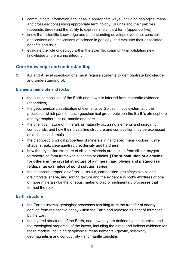- communicate information and ideas in appropriate ways (including geological maps and cross-sections) using appropriate terminology, SI units and their prefixes (appendix three) and the ability to express in standard form (appendix two)
- know that scientific knowledge and understanding develops over time, consider applications and implications of science in geology, and evaluate their associated benefits and risks
- evaluate the role of geology within the scientific community in validating new knowledge and ensuring integrity

#### <span id="page-26-0"></span>**Core knowledge and understanding**

9. AS and A level specifications must require students to demonstrate knowledge and understanding of:

#### **Elements, minerals and rocks**

- the bulk composition of the Earth and how it is inferred from meteorite evidence (chondrites)
- the geochemical classification of elements by Goldschmidt's system and the processes which partition each geochemical group between the Earth's atmosphere and hydrosphere, crust, mantle and core
- the chemical nature of minerals as naturally occurring elements and inorganic compounds, and how their crystalline structure and composition may be expressed as a chemical formula
- the diagnostic physical properties of minerals in hand specimens colour, lustre, shape, streak, cleavage/fracture, density and hardness
- how the crystalline structure of silicate minerals are built up from silicon-oxygen tetrahedral to form frameworks, sheets or chains. **[The substitution of elements for others in the crystal structure of a mineral, and olivine and plagioclase feldspar as examples of solid solution series]**
- the diagnostic properties of rocks colour, composition, grain/crystal size and grain/crystal shape, and sorting/texture and the evidence in rocks -mixtures of one or more minerals- for the igneous, metamorphic or sedimentary processes that formed the rock

#### **Earth structure**

- the Earth's internal geological processes resulting from the transfer of energy derived from radioactive decay within the Earth and released as heat of formation by the Earth
- the layered structures of the Earth, and how they are defined by the chemical and the rheological properties of the layers, including the direct and indirect evidence for these models, including geophysical measurements - gravity, seismicity, geomagnetism and conductivity - and mantle xenoliths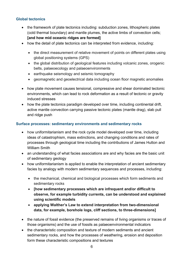#### **Global tectonics**

- the framework of plate tectonics including: subduction zones, lithospheric plates (cold thermal boundary) and mantle plumes, the active limbs of convection cells; **[and how mid oceanic ridges are formed]**
- how the detail of plate tectonics can be interpreted from evidence, including:
	- the direct measurement of relative movement of points on different plates using global positioning systems (GPS)
	- the global distribution of geological features including volcanic zones, orogenic belts, palaeoecology and palaeoenvironments
	- earthquake seismology and seismic tomography
	- geomagnetic and geoelectrical data including ocean floor magnetic anomalies
- how plate movement causes tensional, compressive and shear dominated tectonic environments, which can lead to rock deformation as a result of tectonic or gravity induced stresses
- how the plate tectonics paradigm developed over time, including continental drift, active mantle convection carrying passive tectonic plates (mantle drag), slab pull and ridge push

#### **Surface processes: sedimentary environments and sedimentary rocks**

- how uniformitarianism and the rock cycle model developed over time, including ideas of catastrophism, mass extinctions, and changing conditions and rates of processes through geological time including the contributions of James Hutton and William Smith
- an understanding of what facies associations are and why facies are the basic unit of sedimentary geology
- how uniformitarianism is applied to enable the interpretation of ancient sedimentary facies by analogy with modern sedimentary sequences and processes, including:
	- the mechanical, chemical and biological processes which form sediments and sedimentary rocks
	- **[how sedimentary processes which are infrequent and/or difficult to observe, for example turbidity currents, can be understood and explained using scientific models**
	- **applying Walther's Law to extend interpretation from two-dimensional data, for example, borehole logs, cliff sections, to three-dimensions]**
- the nature of fossil evidence (the preserved remains of living organisms or traces of those organisms) and the use of fossils as palaeoenvironmental indicators
- the characteristic composition and texture of modern sediments and ancient sedimentary rocks, and how the processes of weathering, erosion and deposition form these characteristic compositions and textures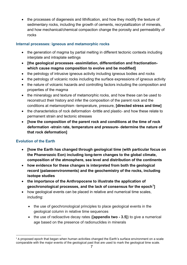• the processes of diagenesis and lithification, and how they modify the texture of sedimentary rocks, including the growth of cements, recrystallization of minerals, and how mechanical/chemical compaction change the porosity and permeability of rocks

#### **Internal processes: igneous and metamorphic rocks**

- the generation of magma by partial melting in different tectonic contexts including interplate and intraplate settings
- **[the geological processes -assimilation, differentiation and fractionationwhich cause magma composition to evolve and be modified]**
- the petrology of intrusive igneous activity including igneous bodies and rocks
- the petrology of volcanic rocks including the surface expressions of igneous activity
- the nature of volcanic hazards and controlling factors including the composition and properties of the magma
- the mineralogy and texture of metamorphic rocks, and how these can be used to reconstruct their history and infer the composition of the parent rock and the conditions at metamorphism -temperature, pressure, **[directed stress and time]**
- the characteristics of rock deformation -brittle and plastic- and how these relate to permanent strain and tectonic stresses
- **[how the composition of the parent rock and conditions at the time of rock deformation -strain rate, temperature and pressure- determine the nature of that rock deformation]**

#### **Evolution of the Earth**

 $\overline{\phantom{a}}$ 

- **[how the Earth has changed through geological time (with particular focus on the Phanerozoic Eon) including long-term changes to the global climate, composition of the atmosphere, sea level and distribution of the continents**
- **how evidence for these changes is interpreted from both the geological record (palaeoenvironments) and the geochemistry of the rocks, including isotope studies**
- **the importance of the Anthropocene to illustrate the application of geochronological processes, and the lack of consensus for the epoch[1\]](#page-28-0)**
- how geological events can be placed in relative and numerical time scales, including:
	- the use of geochronological principles to place geological events in the geological column in relative time sequences
	- the use of radioactive decay rates (**[appendix two 3.5]**) to give a numerical age based on the presence of radionuclides in minerals

<span id="page-28-0"></span><sup>&</sup>lt;sup>1</sup> A proposed epoch that began when human activities changed the Earth's surface environment on a scale comparable with the major events of the geological past that are used to mark the geological time scale.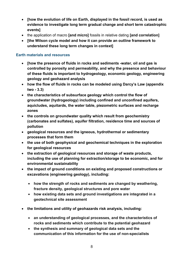- **[how the evolution of life on Earth, displayed in the fossil record, is used as evidence to investigate long term gradual change and short term catastrophic events]**
- the application of macro **[and micro]** fossils in relative dating **[and correlation]**
- **[the Wilson cycle model and how it can provide an outline framework to understand these long term changes in context]**

#### **Earth materials and resources**

- **[how the presence of fluids in rocks and sediments -water, oil and gas is controlled by porosity and permeability, and why the presence and behaviour of these fluids is important to hydrogeology, economic geology, engineering geology and geohazard analysis**
- **how the flow of fluids in rocks can be modeled using Darcy's Law (appendix two - 3.3)**
- **the characteristics of subsurface geology which control the flow of groundwater (hydrogeology) including confined and unconfined aquifers, aquicludes, aquitards, the water table, piezometric surfaces and recharge zones**
- **the controls on groundwater quality which result from geochemistry (carbonates and sulfates), aquifer filtration, residence time and sources of pollution**
- **geological resources and the igneous, hydrothermal or sedimentary processes that form them**
- **the use of both geophysical and geochemical techniques in the exploration for geological resources**
- **the extraction of geological resources and storage of waste products, including the use of planning for extraction/storage to be economic, and for environmental sustainability**
- **the impact of ground conditions on existing and proposed constructions or excavations (engineering geology), including:**
	- **how the strength of rocks and sediments are changed by weathering, fracture density, geological structures and pore water**
	- **how existing data sets and ground investigations are integrated in a geotechnical site assessment**
- **the limitations and utility of geohazards risk analysis, including:**
	- **an understanding of geological processes, and the characteristics of rocks and sediments which contribute to the potential geohazard**
	- **the synthesis and summary of geological data sets and the communication of this information for the use of non-specialists**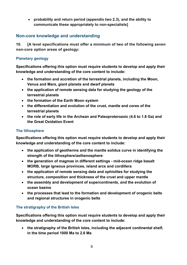• **probability and return period (appendix two 2.3), and the ability to communicate these appropriately to non-specialists]** 

#### <span id="page-30-0"></span>**Non-core knowledge and understanding**

**10. [A level specifications must offer a minimum of two of the following seven non-core option areas of geology:**

#### **Planetary geology**

**Specifications offering this option must require students to develop and apply their knowledge and understanding of the core content to include:** 

- **the formation and accretion of the terrestrial planets, including the Moon, Venus and Mars, giant planets and dwarf planets**
- **the application of remote sensing data for studying the geology of the terrestrial planets**
- **the formation of the Earth Moon system**
- **the differentiation and evolution of the crust, mantle and cores of the terrestrial planets**
- **the role of early life in the Archean and Paleoproterozoic (4.6 to 1.8 Ga) and the Great Oxidation Event**

#### **The lithosphere**

**Specifications offering this option must require students to develop and apply their knowledge and understanding of the core content to include:**

- **the application of geotherms and the mantle solidus curve in identifying the strength of the lithosphere/asthenosphere**
- **the generation of magmas in different settings mid-ocean ridge basalt MORB, large igneous provinces, island arcs and cordillera**
- **the application of remote sensing data and ophiolites for studying the structure, composition and thickness of the crust and upper mantle**
- **the assembly and development of supercontinents, and the evolution of ocean basins**
- **the processes that lead to the formation and development of orogenic belts and regional structures in orogenic belts**

#### **The stratigraphy of the British Isles**

**Specifications offering this option must require students to develop and apply their knowledge and understanding of the core content to include:**

• **the stratigraphy of the British Isles, including the adjacent continental shelf, in the time period 1000 Ma to 2.6 Ma**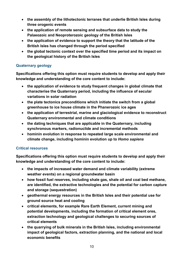- **the assembly of the lithotectonic terranes that underlie British Isles during three orogenic events**
- **the application of remote sensing and subsurface data to study the Palaeozoic and Neoproterozoic geology of the British Isles**
- **the application of evidence to support the theory that the latitude of the British Isles has changed through the period specified**
- **the global tectonic context over the specified time period and its impact on the geological history of the British Isles**

#### **Quaternary geology**

**Specifications offering this option must require students to develop and apply their knowledge and understanding of the core content to include:**

- **the application of evidence to study frequent changes in global climate that characterise the Quaternary period, including the influence of secular variations in solar radiation**
- **the plate tectonics preconditions which initiate the switch from a global greenhouse to ice house climate in the Phanerozoic ice ages**
- **the application of terrestrial, marine and glaciological evidence to reconstruct Quaternary environmental and climate conditions**
- **the dating techniques that are applicable in the Quaternary, including synchronous markers, radionuclide and incremental methods**
- **hominin evolution in response to repeated large scale environmental and climate change, including hominin evolution up to** *Homo sapiens*

#### **Critical resources**

**Specifications offering this option must require students to develop and apply their knowledge and understanding of the core content to include:**

- **the impacts of increased water demand and climate variability (extreme weather events) on a regional groundwater basin**
- **how fossil fuel reserves, including shale gas, shale oil and coal bed methane, are identified, the extractive technologies and the potential for carbon capture and storage (sequestration)**
- **geothermal energy resources in the British Isles and their potential use for ground source heat and cooling**
- **critical elements, for example Rare Earth Element, current mining and potential developments, including the formation of critical element ores, extraction technology and geological challenges to securing sources of critical elements**
- **the quarrying of bulk minerals in the British Isles, including environmental impact of geological factors, extraction planning, and the national and local economic benefits**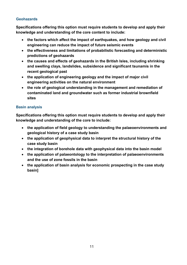#### **Geohazards**

**Specifications offering this option must require students to develop and apply their knowledge and understanding of the core content to include:**

- **the factors which affect the impact of earthquakes, and how geology and civil engineering can reduce the impact of future seismic events**
- **the effectiveness and limitations of probabilistic forecasting and deterministic predictions of geohazards**
- **the causes and effects of geohazards in the British Isles, including shrinking and swelling clays, landslides, subsidence and significant tsunamis in the recent geological past**
- **the application of engineering geology and the impact of major civil engineering activities on the natural environment**
- **the role of geological understanding in the management and remediation of contaminated land and groundwater such as former industrial brownfield sites**

#### **Basin analysis**

**Specifications offering this option must require students to develop and apply their knowledge and understanding of the core to include:**

- **the application of field geology to understanding the palaeoenvironments and geological history of a case study basin**
- **the application of geophysical data to interpret the structural history of the case study basin**
- **the integration of borehole data with geophysical data into the basin model**
- **the application of palaeontology to the interpretation of palaeoenvironments and the use of zone fossils in the basin**
- **the application of basin analysis for economic prospecting in the case study basin]**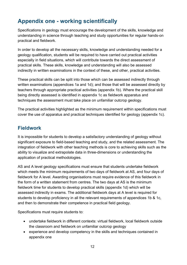### <span id="page-33-0"></span>**Appendix one - working scientifically**

Specifications in geology must encourage the development of the skills, knowledge and understanding in science through teaching and study opportunities for regular hands-on practical and fieldwork.

In order to develop all the necessary skills, knowledge and understanding needed for a geology qualification, students will be required to have carried out practical activities especially in field situations, which will contribute towards the direct assessment of practical skills. These skills, knowledge and understanding will also be assessed indirectly in written examinations in the context of these, and other, practical activities.

These practical skills can be split into those which can be assessed indirectly through written examinations (appendices 1a and 1d); and those that will be assessed directly by teachers through appropriate practical activities (appendix 1b). Where the practical skill being directly assessed is identified in appendix 1c as fieldwork apparatus and techniques the assessment must take place on unfamiliar outcrop geology.

The practical activities highlighted as the minimum requirement within specifications must cover the use of apparatus and practical techniques identified for geology (appendix 1c).

### <span id="page-33-1"></span>**Fieldwork**

It is impossible for students to develop a satisfactory understanding of geology without significant exposure to field-based teaching and study, and the related assessment. The integration of fieldwork with other teaching methods is core to achieving skills such as the ability to visualize and extrapolate data in three-dimensions or understanding the application of practical methodologies.

AS and A level geology specifications must ensure that students undertake fieldwork which meets the minimum requirements of two days of fieldwork at AS, and four days of fieldwork for A level. Awarding organisations must require evidence of this fieldwork in the form of a written statement from centres. The two days at AS is the minimum fieldwork time for students to develop practical skills (appendix 1d) which will be assessed indirectly in exams. The additional fieldwork days at A level is required for students to develop proficiency in all the relevant requirements of appendices 1b & 1c, and then to demonstrate their competence in practical field geology.

Specifications must require students to:

- undertake fieldwork in different contexts: virtual fieldwork, local fieldwork outside the classroom and fieldwork on unfamiliar outcrop geology
- experience and develop competency in the skills and techniques contained in appendix one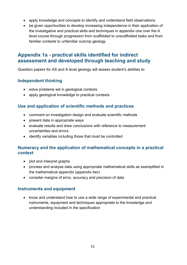- apply knowledge and concepts to identify and understand field observations
- be given opportunities to develop increasing independence in their application of the investigative and practical skills and techniques in appendix one over the A level course through progression from scaffolded to unscaffolded tasks and from familiar contexts to unfamiliar outcrop geology

#### <span id="page-34-0"></span>**Appendix 1a - practical skills identified for indirect assessment and developed through teaching and study**

Question papers for AS and A level geology will assess student's abilities to:

#### <span id="page-34-1"></span>**Independent thinking**

- solve problems set in geological contexts
- apply geological knowledge to practical contexts

#### <span id="page-34-2"></span>**Use and application of scientific methods and practices**

- comment on investigation design and evaluate scientific methods
- present data in appropriate ways
- evaluate results and draw conclusions with reference to measurement uncertainties and errors
- identify variables including those that must be controlled

#### <span id="page-34-3"></span>**Numeracy and the application of mathematical concepts in a practical context**

- plot and interpret graphs
- process and analyse data using appropriate mathematical skills as exemplified in the mathematical appendix (appendix two)
- consider margins of error, accuracy and precision of data

#### <span id="page-34-4"></span>**Instruments and equipment**

• know and understand how to use a wide range of experimental and practical instruments, equipment and techniques appropriate to the knowledge and understanding included in the specification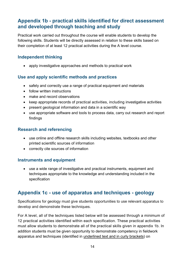#### <span id="page-35-0"></span>**Appendix 1b - practical skills identified for direct assessment and developed through teaching and study**

Practical work carried out throughout the course will enable students to develop the following skills. Students will be directly assessed in relation to these skills based on their completion of at least 12 practical activities during the A level course.

#### <span id="page-35-1"></span>**Independent thinking**

• apply investigative approaches and methods to practical work

#### <span id="page-35-2"></span>**Use and apply scientific methods and practices**

- safely and correctly use a range of practical equipment and materials
- follow written instructions
- make and record observations
- keep appropriate records of practical activities, including investigative activities
- present geological information and data in a scientific way
- use appropriate software and tools to process data, carry out research and report findings

#### <span id="page-35-3"></span>**Research and referencing**

- use online and offline research skills including websites, textbooks and other printed scientific sources of information
- correctly cite sources of information

#### <span id="page-35-4"></span>**Instruments and equipment**

• use a wide range of investigative and practical instruments, equipment and techniques appropriate to the knowledge and understanding included in the specification

#### <span id="page-35-5"></span>**Appendix 1c - use of apparatus and techniques - geology**

Specifications for geology must give students opportunities to use relevant apparatus to develop and demonstrate these techniques.

For A level, all of the techniques listed below will be assessed through a minimum of 12 practical activities identified within each specification. These practical activities must allow students to demonstrate all of the practical skills given in appendix 1b. In addition students must be given opportunity to demonstrate competency in fieldwork apparatus and techniques (identified in underlined text and in curly brackets) on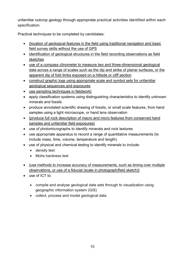unfamiliar outcrop geology through appropriate practical activities identified within each specification.

Practical techniques to be completed by candidates:

- {location of geological features in the field using traditional navigation and basic field survey skills without the use of GPS
- identification of geological structures in the field recording observations as field sketches
- use of a compass clinometer to measure two and three-dimensional geological data across a range of scales such as the dip and strike of planar surfaces, or the apparent dip of fold limbs exposed on a hillside or cliff section
- construct graphic logs using appropriate scale and symbol sets for unfamiliar geological sequences and exposures
- use sampling techniques in fieldwork }
- apply classification systems using distinguishing characteristics to identify unknown minerals and fossils
- produce annotated scientific drawing of fossils, or small scale features, from hand samples using a light microscope, or hand lens observation
- {produce full rock description of macro and micro features from conserved hand samples and unfamiliar field exposures}
- use of photomicrographs to identify minerals and rock textures
- use appropriate apparatus to record a range of quantitative measurements (to include mass, time, volume, temperature and length)
- use of physical and chemical testing to identify minerals to include:
	- density test
	- Mohs hardness test
- {use methods to increase accuracy of measurements, such as timing over multiple observations, or use of a fiducial (scale in photograph/field sketch)}
- use of ICT to:
	- compile and analyse geological data sets through to visualization using geographic information system (GIS)
	- collect, process and model geological data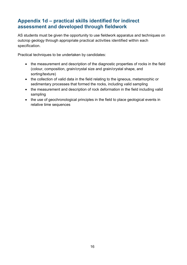#### <span id="page-37-0"></span>**Appendix 1d – practical skills identified for indirect assessment and developed through fieldwork**

AS students must be given the opportunity to use fieldwork apparatus and techniques on outcrop geology through appropriate practical activities identified within each specification.

Practical techniques to be undertaken by candidates:

- the measurement and description of the diagnostic properties of rocks in the field (colour, composition, grain/crystal size and grain/crystal shape, and sorting/texture)
- the collection of valid data in the field relating to the igneous, metamorphic or sedimentary processes that formed the rocks, including valid sampling
- the measurement and description of rock deformation in the field including valid sampling
- the use of geochronological principles in the field to place geological events in relative time sequences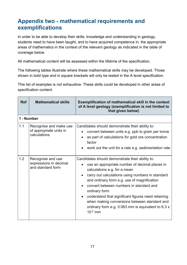### <span id="page-38-0"></span>**Appendix two - mathematical requirements and exemplifications**

In order to be able to develop their skills, knowledge and understanding in geology, students need to have been taught, and to have acquired competence in, the appropriate areas of mathematics in the context of the relevant geology as indicated in the table of coverage below.

All mathematical content will be assessed within the lifetime of the specification.

The following tables illustrate where these mathematical skills may be developed. Those shown in bold type and in square brackets will only be tested in the A level specification.

This list of examples is not exhaustive. These skills could be developed in other areas of specification content.

| <b>Ref</b> | <b>Mathematical skills</b>                                        | <b>Exemplification of mathematical skill in the context</b><br>of A level geology (exemplification is not limited to<br>that given below)                                                                                                                                                                                                                                                                                                                                    |
|------------|-------------------------------------------------------------------|------------------------------------------------------------------------------------------------------------------------------------------------------------------------------------------------------------------------------------------------------------------------------------------------------------------------------------------------------------------------------------------------------------------------------------------------------------------------------|
| 1 - Number |                                                                   |                                                                                                                                                                                                                                                                                                                                                                                                                                                                              |
| 1.1        | Recognise and make use<br>of appropriate units in<br>calculations | Candidates should demonstrate their ability to:<br>convert between units e.g. ppb to gram per tonne<br>as part of calculations for gold ore concentration<br>factor<br>work out the unit for a rate e.g. sedimentation rate                                                                                                                                                                                                                                                  |
| 1.2        | Recognise and use<br>expressions in decimal<br>and standard form  | Candidates should demonstrate their ability to:<br>use an appropriate number of decimal places in<br>calculations e.g. for a mean<br>carry out calculations using numbers in standard<br>and ordinary form e.g. use of magnification<br>convert between numbers in standard and<br>ordinary form<br>understand that significant figures need retaining<br>when making conversions between standard and<br>ordinary form e.g. 0.063 mm is equivalent to 6.3 x<br>$10^{-2}$ mm |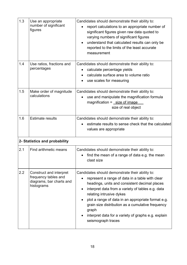| 1.3 | Use an appropriate<br>number of significant<br>figures                                    | Candidates should demonstrate their ability to:<br>report calculations to an appropriate number of<br>significant figures given raw data quoted to<br>varying numbers of significant figures<br>understand that calculated results can only be<br>reported to the limits of the least accurate<br>measurement                                                                                                                         |
|-----|-------------------------------------------------------------------------------------------|---------------------------------------------------------------------------------------------------------------------------------------------------------------------------------------------------------------------------------------------------------------------------------------------------------------------------------------------------------------------------------------------------------------------------------------|
| 1.4 | Use ratios, fractions and<br>percentages                                                  | Candidates should demonstrate their ability to:<br>calculate percentage yields<br>calculate surface area to volume ratio<br>use scales for measuring                                                                                                                                                                                                                                                                                  |
| 1.5 | Make order of magnitude<br>calculations                                                   | Candidates should demonstrate their ability to:<br>use and manipulate the magnification formula<br>magnification = size of image<br>size of real object                                                                                                                                                                                                                                                                               |
| 1.6 | <b>Estimate results</b>                                                                   | Candidates should demonstrate their ability to:<br>estimate results to sense check that the calculated<br>values are appropriate                                                                                                                                                                                                                                                                                                      |
|     | 2- Statistics and probability                                                             |                                                                                                                                                                                                                                                                                                                                                                                                                                       |
| 2.1 | Find arithmetic means                                                                     | Candidates should demonstrate their ability to:<br>find the mean of a range of data e.g. the mean<br>٠<br>clast size                                                                                                                                                                                                                                                                                                                  |
| 2.2 | Construct and interpret<br>frequency tables and<br>diagrams, bar charts and<br>histograms | Candidates should demonstrate their ability to:<br>represent a range of data in a table with clear<br>headings, units and consistent decimal places<br>interpret data from a variety of tables e.g. data<br>relating intrusive dykes<br>plot a range of data in an appropriate format e.g.<br>grain size distribution as a cumulative frequency<br>graph<br>interpret data for a variety of graphs e.g. explain<br>seismograph traces |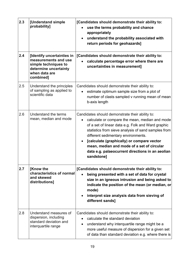| 2.3 | [Understand simple<br>probability]                                                                                                | [Candidates should demonstrate their ability to:<br>use the terms probability and chance<br>appropriately<br>understand the probability associated with<br>return periods for geohazards]                                                                                                                                                                                                                                        |
|-----|-----------------------------------------------------------------------------------------------------------------------------------|----------------------------------------------------------------------------------------------------------------------------------------------------------------------------------------------------------------------------------------------------------------------------------------------------------------------------------------------------------------------------------------------------------------------------------|
| 2.4 | [Identify uncertainties in<br>measurements and use<br>simple techniques to<br>determine uncertainty<br>when data are<br>combined] | [Candidates should demonstrate their ability to:<br>calculate percentage error where there are<br>uncertainties in measurement]                                                                                                                                                                                                                                                                                                  |
| 2.5 | Understand the principles<br>of sampling as applied to<br>scientific data                                                         | Candidates should demonstrate their ability to:<br>estimate optimum sample size from a plot of<br>number of clasts sampled v running mean of mean<br>b-axis length                                                                                                                                                                                                                                                               |
| 2.6 | Understand the terms<br>mean, median and mode                                                                                     | Candidates should demonstrate their ability to:<br>calculate or compare the mean, median and mode<br>$\bullet$<br>of a set of linear data e.g. Folk and Ward graphic<br>statistics from sieve analysis of sand samples from<br>different sedimentary environments.<br>[calculate (graphically) or compare vector<br>mean, median and mode of a set of circular<br>data e.g. palaeocurrent directions in an aeolian<br>sandstonel |
| 2.7 | [Know the<br>characteristics of normal<br>and skewed<br>distributions]                                                            | [Candidates should demonstrate their ability to:<br>being presented with a set of data for crystal<br>size in an igneous intrusion and being asked to<br>indicate the position of the mean (or median, or<br>mode)<br>interpret size analysis data from sieving of<br>different sands]                                                                                                                                           |
| 2.8 | Understand measures of<br>dispersion, including<br>standard deviation and<br>interquartile range                                  | Candidates should demonstrate their ability to:<br>calculate the standard deviation<br>understand why interquartile range might be a<br>$\bullet$<br>more useful measure of dispersion for a given set<br>of data than standard deviation e.g. where there is                                                                                                                                                                    |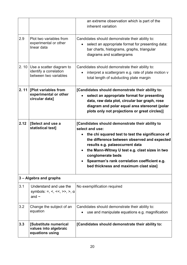|      |                                                                                   | an extreme observation which is part of the<br>inherent variation                                                                                                                                                                                                                                                                                                         |
|------|-----------------------------------------------------------------------------------|---------------------------------------------------------------------------------------------------------------------------------------------------------------------------------------------------------------------------------------------------------------------------------------------------------------------------------------------------------------------------|
| 2.9  | Plot two variables from<br>experimental or other<br>linear data                   | Candidates should demonstrate their ability to:<br>select an appropriate format for presenting data:<br>$\bullet$<br>bar charts, histograms, graphs, triangular<br>diagrams and scattergrams                                                                                                                                                                              |
|      | 2. 10 Use a scatter diagram to<br>identify a correlation<br>between two variables | Candidates should demonstrate their ability to:<br>interpret a scattergram e.g. rate of plate motion v<br>total length of subducting plate margin                                                                                                                                                                                                                         |
| 2.11 | [Plot variables from<br>experimental or other<br>circular data]                   | [Candidates should demonstrate their ability to:<br>select an appropriate format for presenting<br>data, raw data plot, circular bar graph, rose<br>diagram and polar equal area stereonet (polar<br>plots only not projections or great circles)]                                                                                                                        |
| 2.12 | [Select and use a<br>statistical test]                                            | [Candidates should demonstrate their ability to<br>select and use:<br>the chi squared test to test the significance of<br>the difference between observed and expected<br>results e.g. palaeocurrent data<br>the Mann-Witney U test e.g. clast sizes in two<br>conglomerate beds<br>Spearman's rank correlation coefficient e.g.<br>bed thickness and maximum clast size] |
|      | 3 - Algebra and graphs                                                            |                                                                                                                                                                                                                                                                                                                                                                           |
| 3.1  | Understand and use the<br>symbols: =, <, <<, >>, >, $\alpha$<br>and $\sim$        | No exemplification required                                                                                                                                                                                                                                                                                                                                               |
| 3.2  | Change the subject of an<br>equation                                              | Candidates should demonstrate their ability to:<br>use and manipulate equations e.g. magnification                                                                                                                                                                                                                                                                        |
| 3.3  | [Substitute numerical<br>values into algebraic<br>equations using                 | [Candidates should demonstrate their ability to:                                                                                                                                                                                                                                                                                                                          |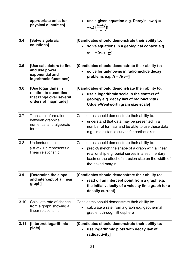|      | appropriate units for<br>physical quantities]                                                   | use a given equation e.g. Darcy's law $Q =$<br>$-\kappa A\left(\frac{h_2-h_1}{I}\right)$ ]                                                                                                                                            |
|------|-------------------------------------------------------------------------------------------------|---------------------------------------------------------------------------------------------------------------------------------------------------------------------------------------------------------------------------------------|
| 3.4  | [Solve algebraic<br>equations]                                                                  | [Candidates should demonstrate their ability to:<br>solve equations in a geological context e.g.<br>$\varphi = -log_2(\frac{D}{D_0})$                                                                                                 |
| 3.5  | [Use calculators to find<br>and use power,<br>exponential and<br>logarithmic functions]         | [Candidates should demonstrate their ability to:<br>solve for unknowns in radionuclide decay<br>problems e.g. $N = N_0 e^{-\lambda t}$                                                                                                |
| 3.6  | [Use logarithms in<br>relation to quantities<br>that range over several<br>orders of magnitude] | [Candidates should demonstrate their ability to:<br>use a logarithmic scale in the context of<br>geology e.g. decay law of radioactivity /<br><b>Udden-Wentworth grain size scale]</b>                                                |
| 3.7  | Translate information<br>between graphical,<br>numerical and algebraic<br>forms                 | Candidates should demonstrate their ability to:<br>understand that data may be presented in a<br>number of formats and be able to use these data<br>e.g. time distance curves for earthquakes                                         |
| 3.8  | Understand that<br>$y = mx + c$ represents a<br>linear relationship                             | Candidates should demonstrate their ability to:<br>predict/sketch the shape of a graph with a linear<br>relationship e.g. burial curves in a sedimentary<br>basin or the effect of intrusion size on the width of<br>the baked margin |
| 3.9  | [Determine the slope<br>and intercept of a linear<br>graph]                                     | [Candidates should demonstrate their ability to:<br>read off an intercept point from a graph e.g.<br>the initial velocity of a velocity time graph for a<br>density current]                                                          |
| 3.10 | Calculate rate of change<br>from a graph showing a<br>linear relationship                       | Candidates should demonstrate their ability to:<br>calculate a rate from a graph e.g. geothermal<br>gradient through lithosphere                                                                                                      |
| 3.11 | [Interpret logarithmic<br>plots]                                                                | [Candidates should demonstrate their ability to:<br>use logarithmic plots with decay law of<br>radioactivity]                                                                                                                         |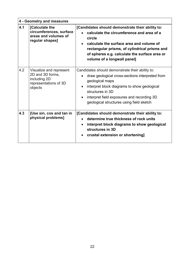| 4 - Geometry and measures |                                                                                                 |                                                                                                                                                                                                                                                                                      |
|---------------------------|-------------------------------------------------------------------------------------------------|--------------------------------------------------------------------------------------------------------------------------------------------------------------------------------------------------------------------------------------------------------------------------------------|
| 4.1                       | [Calculate the<br>circumferences, surface<br>areas and volumes of<br>regular shapes]            | [Candidates should demonstrate their ability to:<br>calculate the circumference and area of a<br>circle<br>calculate the surface area and volume of<br>rectangular prisms, of cylindrical prisms and<br>of spheres e.g. calculate the surface area or<br>volume of a longwall panel] |
| 4.2                       | Visualize and represent<br>2D and 3D forms,<br>including 2D<br>representations of 3D<br>objects | Candidates should demonstrate their ability to:<br>draw geological cross-sections interpreted from<br>geological maps<br>interpret block diagrams to show geological<br>structures in 3D<br>interpret field exposures and recording 3D<br>geological structures using field sketch   |
| 4.3                       | [Use sin, cos and tan in<br>physical problems]                                                  | [Candidates should demonstrate their ability to:<br>determine true thickness of rock units<br>interpret block diagrams to show geological<br>structures in 3D<br>crustal extension or shortening]                                                                                    |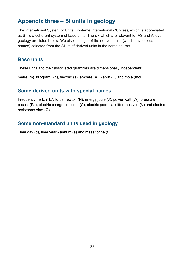### <span id="page-44-0"></span>**Appendix three – SI units in geology**

The International System of Units (Système International d'Unités), which is abbreviated as SI, is a coherent system of base units. The six which are relevant for AS and A level geology are listed below. We also list eight of the derived units (which have special names) selected from the SI list of derived units in the same source.

#### <span id="page-44-1"></span>**Base units**

These units and their associated quantities are dimensionally independent:

metre (m), kilogram (kg), second (s), ampere (A), kelvin (K) and mole (mol).

#### <span id="page-44-2"></span>**Some derived units with special names**

Frequency hertz (Hz), force newton (N), energy joule (J), power watt (W), pressure pascal (Pa), electric charge coulomb (C), electric potential difference volt (V) and electric resistance ohm  $(Ω)$ .

#### <span id="page-44-3"></span>**Some non-standard units used in geology**

Time day (d), time year - annum (a) and mass tonne (t).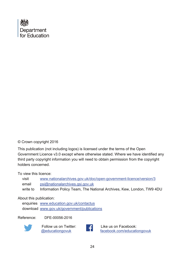

#### © Crown copyright 2016

This publication (not including logos) is licensed under the terms of the Open Government Licence v3.0 except where otherwise stated. Where we have identified any third party copyright information you will need to obtain permission from the copyright holders concerned.

To view this licence:

| visit    | www.nationalarchives.gov.uk/doc/open-government-licence/version/3    |
|----------|----------------------------------------------------------------------|
| email    | psi@nationalarchives.gsi.gov.uk                                      |
| write to | Information Policy Team, The National Archives, Kew, London, TW9 4DU |

#### About this publication:

enquiries [www.education.gov.uk/contactus](http://www.facebook.com/educationgovuk)  download [www.gov.uk/government/publications](http://www.gov.uk/government/publications) 

Reference: DFE-00056-2016



 Follow us on Twitter: [@educationgovuk](http://twitter.com/educationgovuk)



Like us on Facebook: [facebook.com/educationgovuk](http://www.education.gov.uk/contactus)